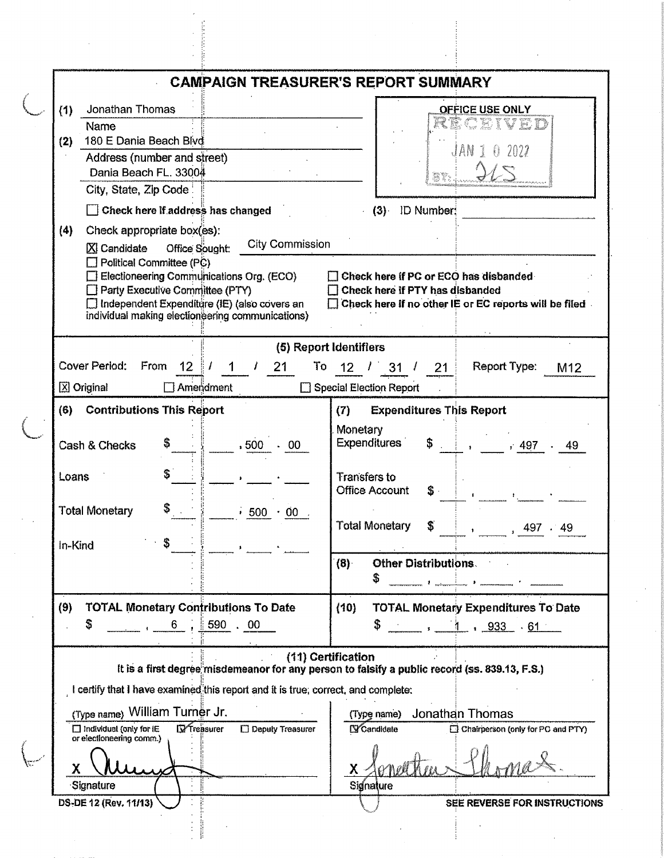|                 |                                                                                                    |                                            | <b>CAMPAIGN TREASURER'S REPORT SUMMARY</b>                                                    |  |  |  |  |
|-----------------|----------------------------------------------------------------------------------------------------|--------------------------------------------|-----------------------------------------------------------------------------------------------|--|--|--|--|
| (1)             | Jonathan Thomas                                                                                    |                                            | OFFICE USE ONLY                                                                               |  |  |  |  |
|                 | Name                                                                                               |                                            |                                                                                               |  |  |  |  |
| (2)             | 180 E Dania Beach Blvd                                                                             |                                            |                                                                                               |  |  |  |  |
|                 | Address (number and street)                                                                        |                                            | JAN                                                                                           |  |  |  |  |
|                 | Dania Beach FL. 33004                                                                              |                                            |                                                                                               |  |  |  |  |
|                 | City, State, Zip Code:                                                                             |                                            |                                                                                               |  |  |  |  |
|                 | $\Box$ Check here if address has changed                                                           |                                            | (3) ID Number:                                                                                |  |  |  |  |
| (4)             | Check appropriate box(es):                                                                         |                                            |                                                                                               |  |  |  |  |
|                 | <b>X</b> Candidate<br>Office Sought:                                                               | <b>City Commission</b>                     |                                                                                               |  |  |  |  |
|                 | $\Box$ Political Committee (PC)                                                                    |                                            |                                                                                               |  |  |  |  |
|                 | Electioneering Communications Org. (ECO)<br>Check here if PC or ECO has disbanded                  |                                            |                                                                                               |  |  |  |  |
|                 | Party Executive Committee (PTY)                                                                    |                                            | Check here if PTY has disbanded                                                               |  |  |  |  |
|                 | □ Independent Expenditure (IE) (also covers an<br>individual making electioneering communications) |                                            | Check here if no other IE or EC reports will be filed.                                        |  |  |  |  |
|                 |                                                                                                    |                                            |                                                                                               |  |  |  |  |
|                 |                                                                                                    |                                            | (5) Report Identifiers                                                                        |  |  |  |  |
|                 | Cover Period:<br>From<br>12 <sub>1</sub>                                                           | 21<br>To                                   | Report Type:<br>12 <sub>2</sub><br>31 <sup>1</sup><br>21<br>M12                               |  |  |  |  |
|                 | <b>⊠</b> Original<br>Ameriament                                                                    |                                            | Special Election Report                                                                       |  |  |  |  |
|                 |                                                                                                    |                                            |                                                                                               |  |  |  |  |
| (6)             | <b>Contributions This Report</b>                                                                   |                                            | <b>Expenditures This Report</b><br>(7)                                                        |  |  |  |  |
|                 |                                                                                                    |                                            | Monetary                                                                                      |  |  |  |  |
|                 | Cash & Checks<br>, 500                                                                             | - 00                                       | <b>Expenditures</b><br>, 497<br>49                                                            |  |  |  |  |
|                 |                                                                                                    |                                            |                                                                                               |  |  |  |  |
| Loans           |                                                                                                    |                                            | Transfers to                                                                                  |  |  |  |  |
|                 |                                                                                                    |                                            | <b>Office Account</b><br>S.                                                                   |  |  |  |  |
|                 | <b>Total Monetary</b>                                                                              | $\rightarrow$ 500 $\cdot$ 00 $\rightarrow$ |                                                                                               |  |  |  |  |
|                 |                                                                                                    |                                            | Total Monetary<br>S.<br>, 497.49                                                              |  |  |  |  |
| In-Kind         |                                                                                                    |                                            |                                                                                               |  |  |  |  |
|                 |                                                                                                    |                                            | <b>Other Distributions.</b><br>(8)                                                            |  |  |  |  |
|                 |                                                                                                    |                                            | \$<br><b>Control of State of Control Communication</b>                                        |  |  |  |  |
| (9)             | <b>TOTAL Monetary Contributions To Date</b>                                                        |                                            | (10)<br><b>TOTAL Monetary Expenditures To Date</b>                                            |  |  |  |  |
| 6, 590, 00<br>S |                                                                                                    |                                            | S.                                                                                            |  |  |  |  |
|                 |                                                                                                    |                                            | $\frac{1}{\sqrt{2}}$ , $\frac{1}{\sqrt{2}}$ , $\frac{933}{\sqrt{2}}$ , $\frac{61}{\sqrt{2}}$  |  |  |  |  |
|                 |                                                                                                    |                                            | (11) Certification                                                                            |  |  |  |  |
|                 |                                                                                                    |                                            | It is a first degree misdemeanor for any person to falsify a public record (ss. 839.13, F.S.) |  |  |  |  |
|                 | I certify that I have examined this report and it is true, correct, and complete:                  |                                            |                                                                                               |  |  |  |  |
|                 | (Type name) William Turner Jr.                                                                     |                                            | Jonathan Thomas<br>(Type name)                                                                |  |  |  |  |
|                 | <b>D</b> Treasurer<br>$\Box$ Individual (only for $\mathsf l\mathsf E$                             | $\square$ Deputy Treasurer                 | <b>S</b> Candidate<br>Chairperson (only for PC and PTY)                                       |  |  |  |  |
|                 | or electioneering comm.)                                                                           |                                            |                                                                                               |  |  |  |  |
|                 |                                                                                                    |                                            |                                                                                               |  |  |  |  |
| χ               |                                                                                                    |                                            | $\mathsf{X}$                                                                                  |  |  |  |  |
|                 | Signature                                                                                          |                                            | Signature                                                                                     |  |  |  |  |
|                 | DS-DE 12 (Rev. 11/13)                                                                              |                                            | SEE REVERSE FOR INSTRUCTIONS                                                                  |  |  |  |  |
|                 |                                                                                                    |                                            |                                                                                               |  |  |  |  |
|                 |                                                                                                    |                                            |                                                                                               |  |  |  |  |
|                 |                                                                                                    |                                            |                                                                                               |  |  |  |  |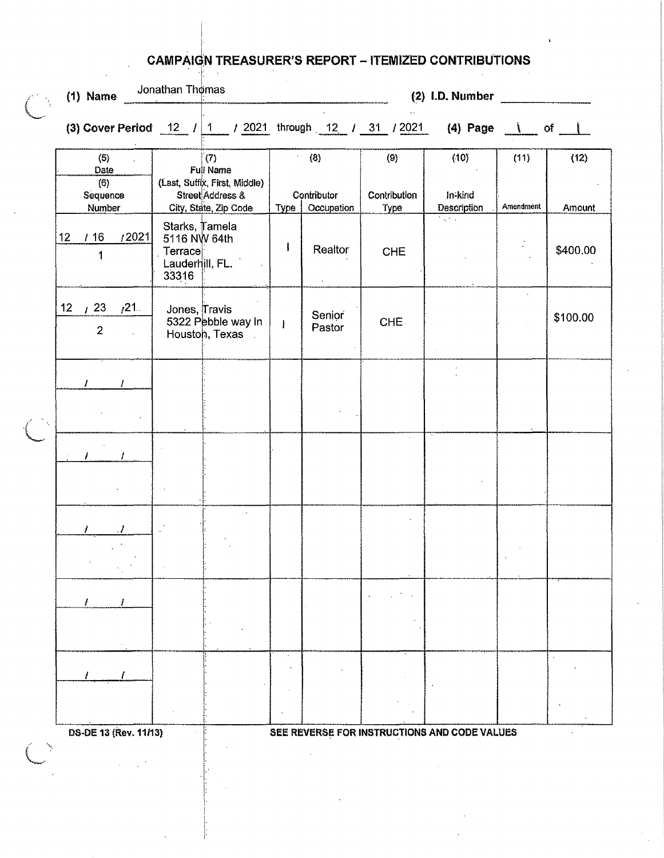## **CAMPAIGN TREASURER'S REPORT - ITEMIZED CONTRIBUTIONS** 圭

| $(1)$ Name                               | Jonathan Thomas  |                                                                                                |              |                                         | (2) I.D. Number             |                                                             |                   |                |
|------------------------------------------|------------------|------------------------------------------------------------------------------------------------|--------------|-----------------------------------------|-----------------------------|-------------------------------------------------------------|-------------------|----------------|
|                                          |                  |                                                                                                |              |                                         |                             |                                                             |                   |                |
| (6)<br>Date<br>(6)<br>Sequence<br>Number |                  | (7)<br>Full Name<br>(Last, Suffix, First, Middle)<br>Street Address &<br>City, State, Zip Code |              | (8)<br>Contributor<br>Type   Occupation | (9)<br>Contribution<br>Type | (10)<br>In-kind<br><b>Description</b>                       | (11)<br>Amendment | (12)<br>Amount |
| 12021<br>16<br>12 <sup>1</sup>           | Terrace<br>33316 | Starks, Tamela<br>5116 NW 64th<br>Lauderhill, FL.                                              | $\mathbf i$  | Realtor                                 | <b>CHE</b>                  | $\overline{N_{\rm{eff}}(t)}$ , $\overline{N_{\rm{eff}}(t)}$ |                   | \$400.00       |
| $1/21$ .<br>12<br>123<br>$\overline{2}$  |                  | Jones, Travis<br>5322 Pebble way In<br>Houston, Texas                                          | $\mathbf{I}$ | Senior<br>Pastor                        | CHE.                        |                                                             |                   | \$100.00       |
|                                          |                  |                                                                                                |              |                                         |                             |                                                             |                   |                |
|                                          |                  |                                                                                                |              |                                         |                             |                                                             |                   |                |
|                                          |                  |                                                                                                |              |                                         |                             |                                                             |                   |                |
|                                          |                  |                                                                                                |              |                                         |                             |                                                             |                   |                |
|                                          |                  |                                                                                                |              |                                         |                             |                                                             |                   |                |